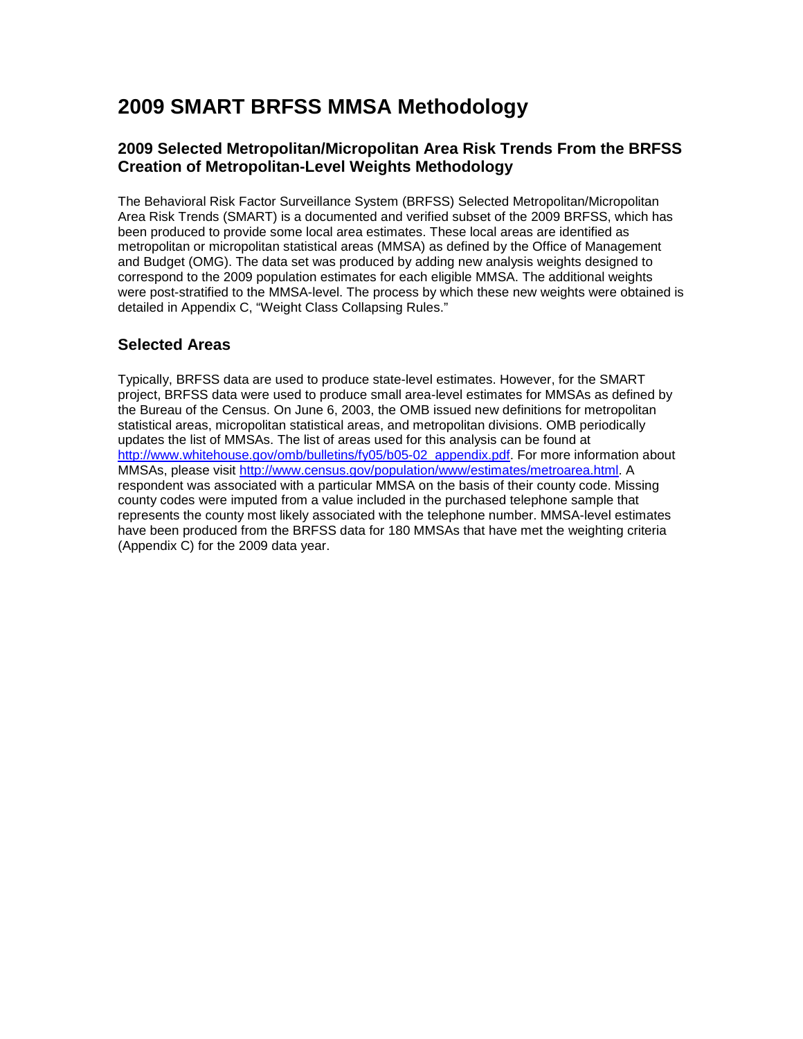# **2009 SMART BRFSS MMSA Methodology**

### **2009 Selected Metropolitan/Micropolitan Area Risk Trends From the BRFSS Creation of Metropolitan-Level Weights Methodology**

The Behavioral Risk Factor Surveillance System (BRFSS) Selected Metropolitan/Micropolitan Area Risk Trends (SMART) is a documented and verified subset of the 2009 BRFSS, which has been produced to provide some local area estimates. These local areas are identified as metropolitan or micropolitan statistical areas (MMSA) as defined by the Office of Management and Budget (OMG). The data set was produced by adding new analysis weights designed to correspond to the 2009 population estimates for each eligible MMSA. The additional weights were post-stratified to the MMSA-level. The process by which these new weights were obtained is detailed in Appendix C, "Weight Class Collapsing Rules."

### **Selected Areas**

Typically, BRFSS data are used to produce state-level estimates. However, for the SMART project, BRFSS data were used to produce small area-level estimates for MMSAs as defined by the Bureau of the Census. On June 6, 2003, the OMB issued new definitions for metropolitan statistical areas, micropolitan statistical areas, and metropolitan divisions. OMB periodically updates the list of MMSAs. The list of areas used for this analysis can be found at [http://www.whitehouse.gov/omb/bulletins/fy05/b05-02\\_appendix.pdf.](http://www.whitehouse.gov/omb/bulletins/fy05/b05-02_appendix.pdf) For more information about MMSAs, please visit [http://www.census.gov/population/www/estimates/metroarea.html.](http://www.census.gov/population/www/estimates/metroarea.html) A respondent was associated with a particular MMSA on the basis of their county code. Missing county codes were imputed from a value included in the purchased telephone sample that represents the county most likely associated with the telephone number. MMSA-level estimates have been produced from the BRFSS data for 180 MMSAs that have met the weighting criteria (Appendix C) for the 2009 data year.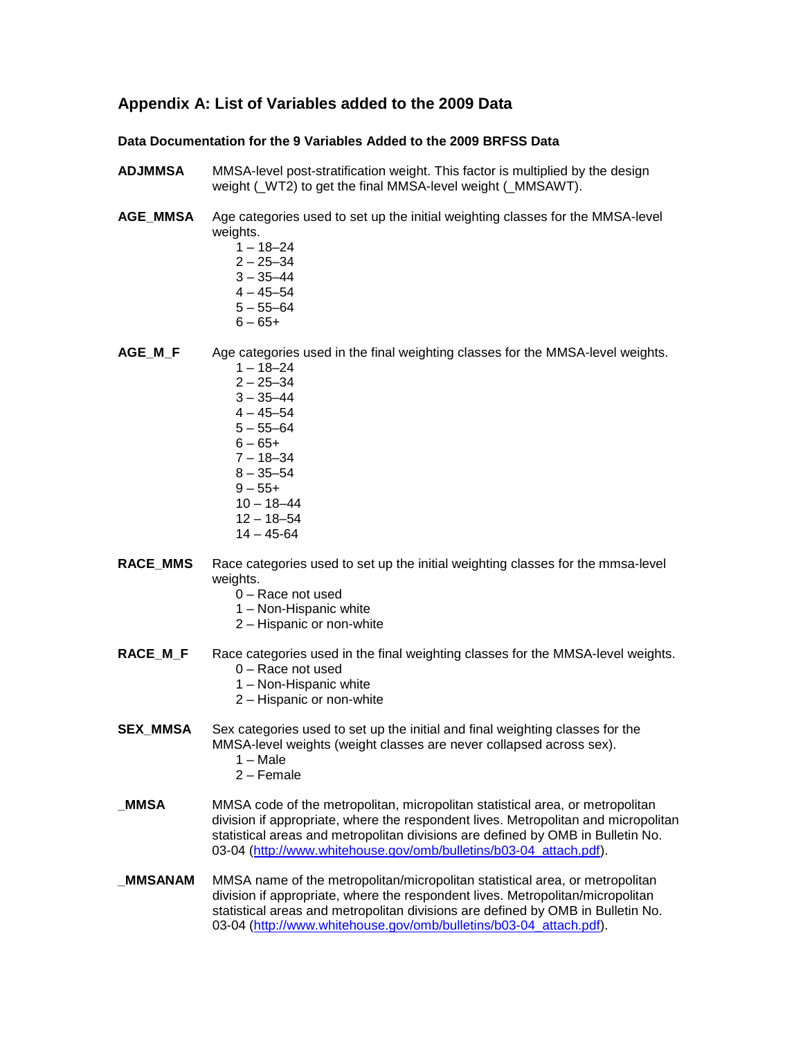#### **Appendix A: List of Variables added to the 2009 Data**

#### **Data Documentation for the 9 Variables Added to the 2009 BRFSS Data**

- **ADJMMSA** MMSA-level post-stratification weight. This factor is multiplied by the design weight ( WT2) to get the final MMSA-level weight ( MMSAWT).
- **AGE\_MMSA** Age categories used to set up the initial weighting classes for the MMSA-level weights.
	- $1 18 24$  $2 - 25 - 34$  $3 - 35 - 44$
	- $4 45 54$
	- $5 55 64$
	- $6 65 +$
	-

AGE M F Age categories used in the final weighting classes for the MMSA-level weights.

- $1 18 24$  $2 - 25 - 34$
- $3 35 44$
- $4 45 54$
- $5 55 64$
- $6 65 +$
- 7 18–34
- $8 35 54$
- $9 55+$  $10 - 18 - 44$
- 12 18–54
- $14 45 64$
- **RACE\_MMS** Race categories used to set up the initial weighting classes for the mmsa-level weights.
	- 0 Race not used
	- 1 Non-Hispanic white
	- 2 Hispanic or non-white
- **RACE M\_F** Race categories used in the final weighting classes for the MMSA-level weights. 0 – Race not used
	- 1 Non-Hispanic white
	- 2 Hispanic or non-white
- **SEX\_MMSA** Sex categories used to set up the initial and final weighting classes for the MMSA-level weights (weight classes are never collapsed across sex).
	- $1 Male$
	- 2 Female
- **MMSA** MMSA code of the metropolitan, micropolitan statistical area, or metropolitan division if appropriate, where the respondent lives. Metropolitan and micropolitan statistical areas and metropolitan divisions are defined by OMB in Bulletin No. 03-04 [\(http://www.whitehouse.gov/omb/bulletins/b03-04\\_attach.pdf\)](http://www.whitehouse.gov/omb/bulletins/b03-04_attach.pdf).
- **\_MMSANAM** MMSA name of the metropolitan/micropolitan statistical area, or metropolitan division if appropriate, where the respondent lives. Metropolitan/micropolitan statistical areas and metropolitan divisions are defined by OMB in Bulletin No. 03-04 [\(http://www.whitehouse.gov/omb/bulletins/b03-04\\_attach.pdf\)](http://www.whitehouse.gov/omb/bulletins/b03-04_attach.pdf).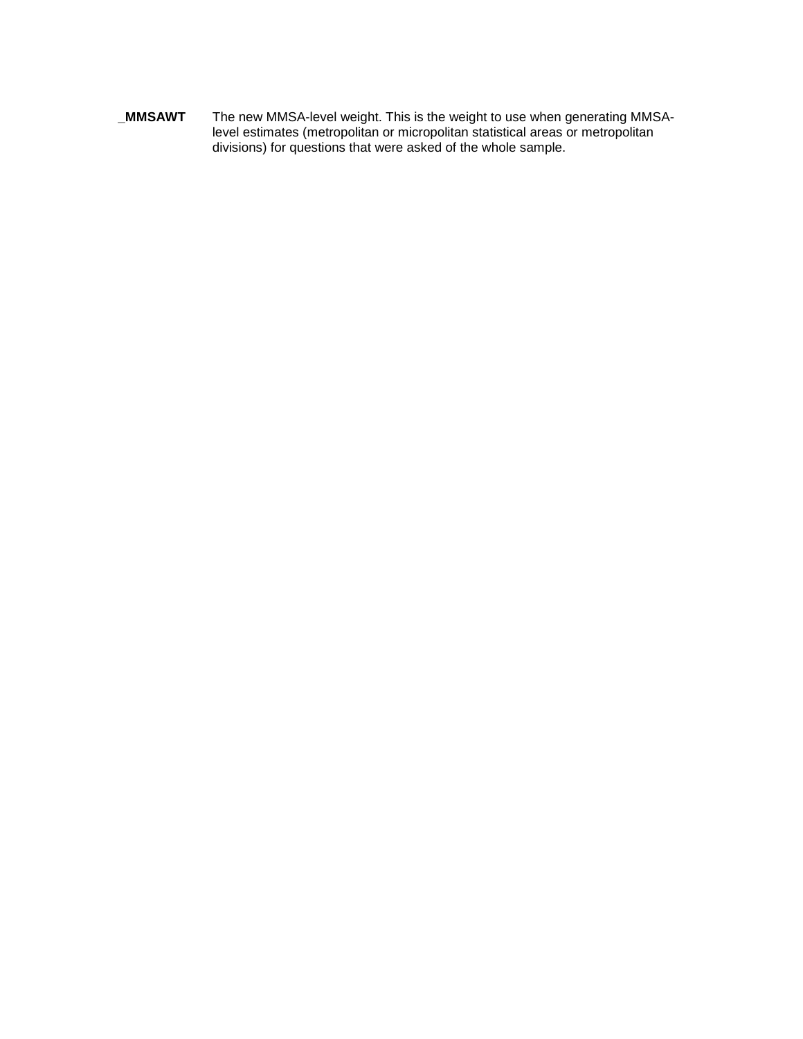**\_MMSAWT** The new MMSA-level weight. This is the weight to use when generating MMSAlevel estimates (metropolitan or micropolitan statistical areas or metropolitan divisions) for questions that were asked of the whole sample.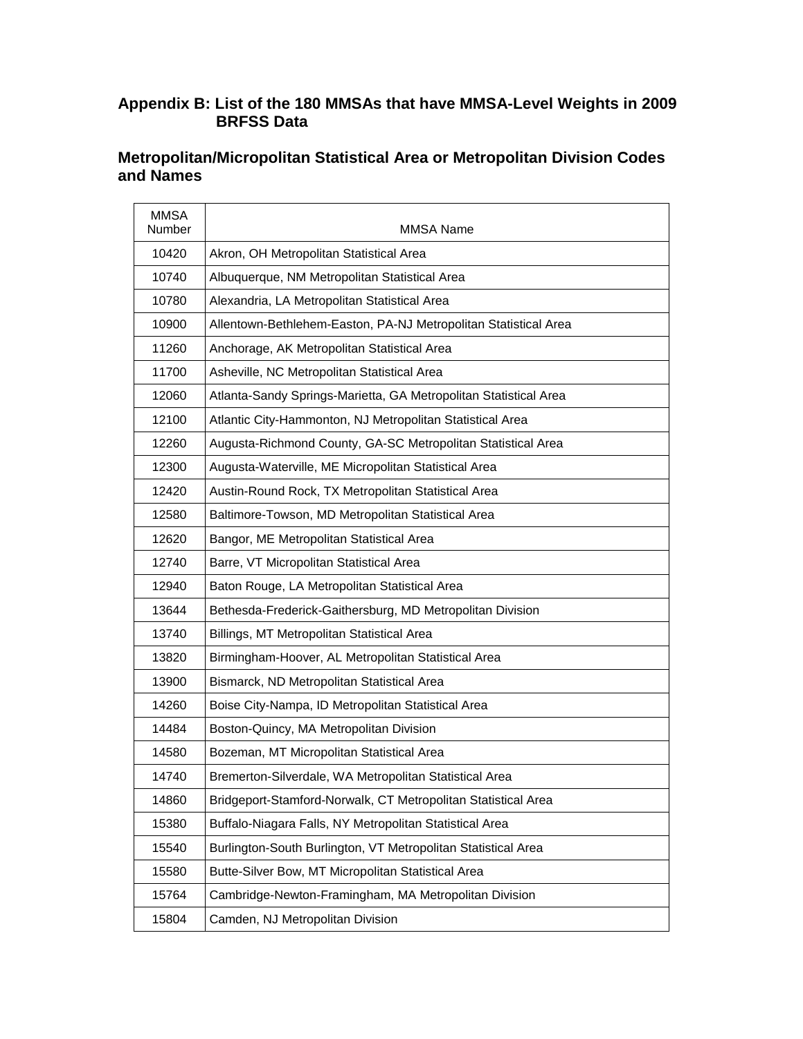### **Appendix B: List of the 180 MMSAs that have MMSA-Level Weights in 2009 BRFSS Data**

# **Metropolitan/Micropolitan Statistical Area or Metropolitan Division Codes and Names**

| <b>MMSA</b><br>Number | <b>MMSA Name</b>                                                 |
|-----------------------|------------------------------------------------------------------|
| 10420                 | Akron, OH Metropolitan Statistical Area                          |
| 10740                 | Albuquerque, NM Metropolitan Statistical Area                    |
| 10780                 | Alexandria, LA Metropolitan Statistical Area                     |
| 10900                 | Allentown-Bethlehem-Easton, PA-NJ Metropolitan Statistical Area  |
| 11260                 | Anchorage, AK Metropolitan Statistical Area                      |
| 11700                 | Asheville, NC Metropolitan Statistical Area                      |
| 12060                 | Atlanta-Sandy Springs-Marietta, GA Metropolitan Statistical Area |
| 12100                 | Atlantic City-Hammonton, NJ Metropolitan Statistical Area        |
| 12260                 | Augusta-Richmond County, GA-SC Metropolitan Statistical Area     |
| 12300                 | Augusta-Waterville, ME Micropolitan Statistical Area             |
| 12420                 | Austin-Round Rock, TX Metropolitan Statistical Area              |
| 12580                 | Baltimore-Towson, MD Metropolitan Statistical Area               |
| 12620                 | Bangor, ME Metropolitan Statistical Area                         |
| 12740                 | Barre, VT Micropolitan Statistical Area                          |
| 12940                 | Baton Rouge, LA Metropolitan Statistical Area                    |
| 13644                 | Bethesda-Frederick-Gaithersburg, MD Metropolitan Division        |
| 13740                 | Billings, MT Metropolitan Statistical Area                       |
| 13820                 | Birmingham-Hoover, AL Metropolitan Statistical Area              |
| 13900                 | Bismarck, ND Metropolitan Statistical Area                       |
| 14260                 | Boise City-Nampa, ID Metropolitan Statistical Area               |
| 14484                 | Boston-Quincy, MA Metropolitan Division                          |
| 14580                 | Bozeman, MT Micropolitan Statistical Area                        |
| 14740                 | Bremerton-Silverdale, WA Metropolitan Statistical Area           |
| 14860                 | Bridgeport-Stamford-Norwalk, CT Metropolitan Statistical Area    |
| 15380                 | Buffalo-Niagara Falls, NY Metropolitan Statistical Area          |
| 15540                 | Burlington-South Burlington, VT Metropolitan Statistical Area    |
| 15580                 | Butte-Silver Bow, MT Micropolitan Statistical Area               |
| 15764                 | Cambridge-Newton-Framingham, MA Metropolitan Division            |
| 15804                 | Camden, NJ Metropolitan Division                                 |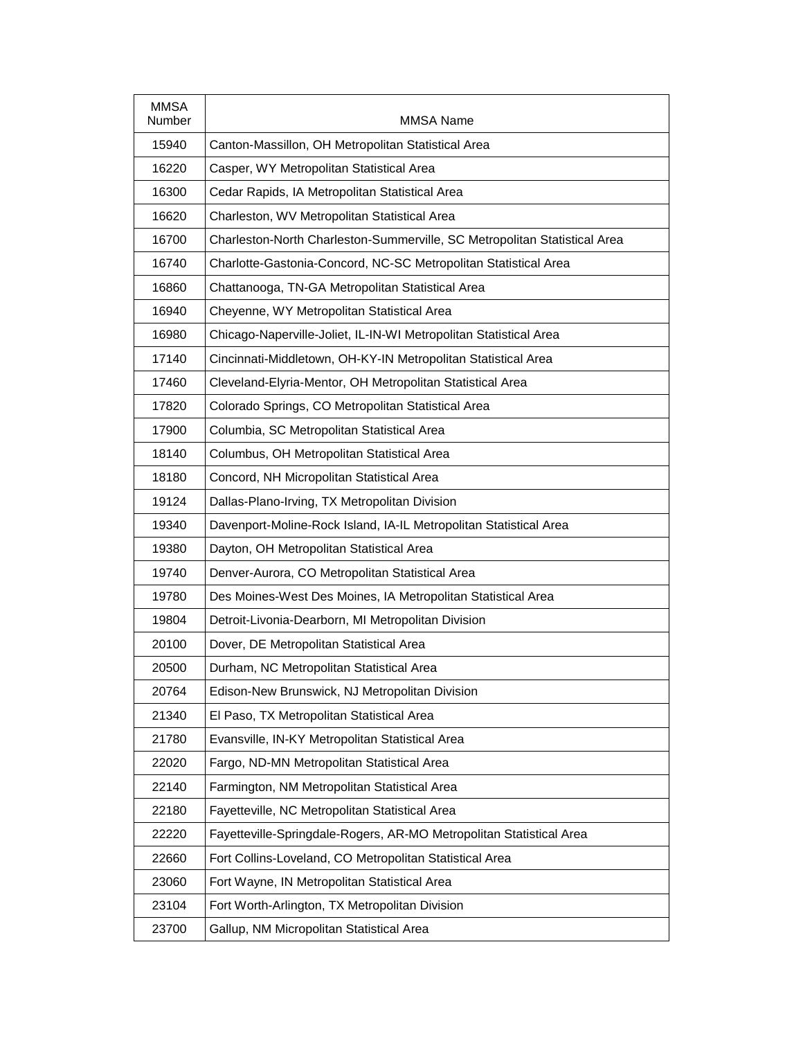| <b>MMSA</b><br>Number | MMSA Name                                                                 |
|-----------------------|---------------------------------------------------------------------------|
| 15940                 | Canton-Massillon, OH Metropolitan Statistical Area                        |
| 16220                 | Casper, WY Metropolitan Statistical Area                                  |
| 16300                 | Cedar Rapids, IA Metropolitan Statistical Area                            |
| 16620                 | Charleston, WV Metropolitan Statistical Area                              |
| 16700                 | Charleston-North Charleston-Summerville, SC Metropolitan Statistical Area |
| 16740                 | Charlotte-Gastonia-Concord, NC-SC Metropolitan Statistical Area           |
| 16860                 | Chattanooga, TN-GA Metropolitan Statistical Area                          |
| 16940                 | Cheyenne, WY Metropolitan Statistical Area                                |
| 16980                 | Chicago-Naperville-Joliet, IL-IN-WI Metropolitan Statistical Area         |
| 17140                 | Cincinnati-Middletown, OH-KY-IN Metropolitan Statistical Area             |
| 17460                 | Cleveland-Elyria-Mentor, OH Metropolitan Statistical Area                 |
| 17820                 | Colorado Springs, CO Metropolitan Statistical Area                        |
| 17900                 | Columbia, SC Metropolitan Statistical Area                                |
| 18140                 | Columbus, OH Metropolitan Statistical Area                                |
| 18180                 | Concord, NH Micropolitan Statistical Area                                 |
| 19124                 | Dallas-Plano-Irving, TX Metropolitan Division                             |
| 19340                 | Davenport-Moline-Rock Island, IA-IL Metropolitan Statistical Area         |
| 19380                 | Dayton, OH Metropolitan Statistical Area                                  |
| 19740                 | Denver-Aurora, CO Metropolitan Statistical Area                           |
| 19780                 | Des Moines-West Des Moines, IA Metropolitan Statistical Area              |
| 19804                 | Detroit-Livonia-Dearborn, MI Metropolitan Division                        |
| 20100                 | Dover, DE Metropolitan Statistical Area                                   |
| 20500                 | Durham, NC Metropolitan Statistical Area                                  |
| 20764                 | Edison-New Brunswick, NJ Metropolitan Division                            |
| 21340                 | El Paso, TX Metropolitan Statistical Area                                 |
| 21780                 | Evansville, IN-KY Metropolitan Statistical Area                           |
| 22020                 | Fargo, ND-MN Metropolitan Statistical Area                                |
| 22140                 | Farmington, NM Metropolitan Statistical Area                              |
| 22180                 | Fayetteville, NC Metropolitan Statistical Area                            |
| 22220                 | Fayetteville-Springdale-Rogers, AR-MO Metropolitan Statistical Area       |
| 22660                 | Fort Collins-Loveland, CO Metropolitan Statistical Area                   |
| 23060                 | Fort Wayne, IN Metropolitan Statistical Area                              |
| 23104                 | Fort Worth-Arlington, TX Metropolitan Division                            |
| 23700                 | Gallup, NM Micropolitan Statistical Area                                  |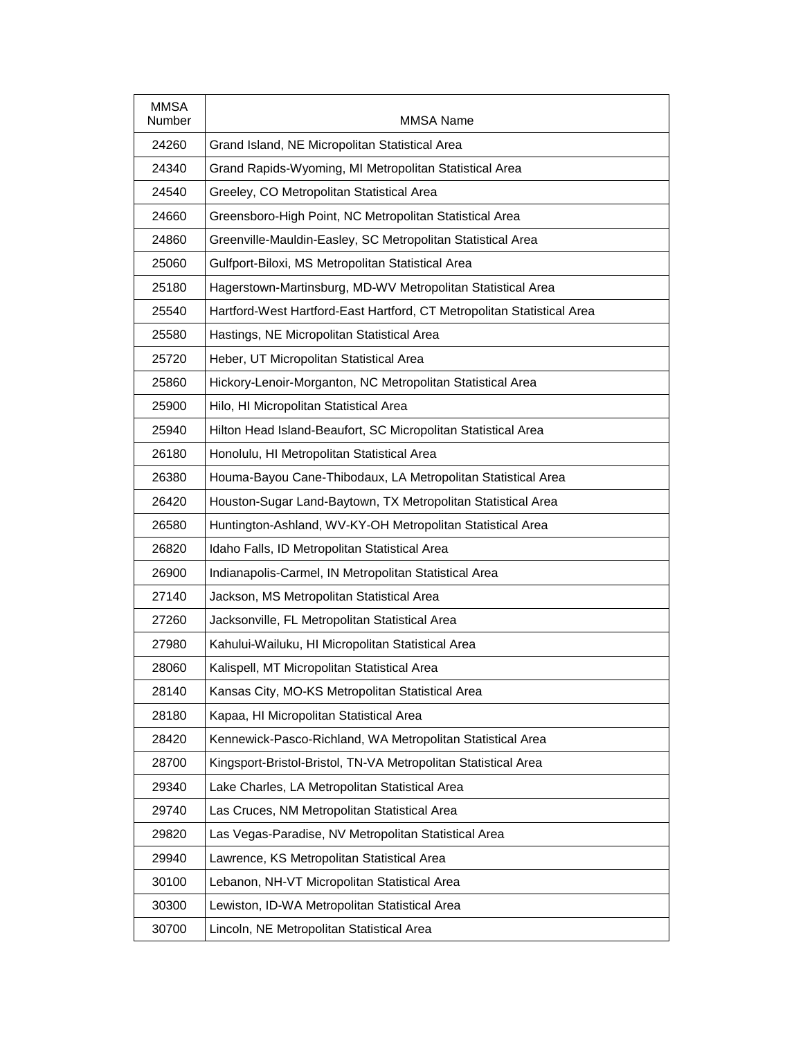| <b>MMSA</b><br>Number | <b>MMSA Name</b>                                                       |
|-----------------------|------------------------------------------------------------------------|
| 24260                 | Grand Island, NE Micropolitan Statistical Area                         |
| 24340                 | Grand Rapids-Wyoming, MI Metropolitan Statistical Area                 |
| 24540                 | Greeley, CO Metropolitan Statistical Area                              |
| 24660                 | Greensboro-High Point, NC Metropolitan Statistical Area                |
| 24860                 | Greenville-Mauldin-Easley, SC Metropolitan Statistical Area            |
| 25060                 | Gulfport-Biloxi, MS Metropolitan Statistical Area                      |
| 25180                 | Hagerstown-Martinsburg, MD-WV Metropolitan Statistical Area            |
| 25540                 | Hartford-West Hartford-East Hartford, CT Metropolitan Statistical Area |
| 25580                 | Hastings, NE Micropolitan Statistical Area                             |
| 25720                 | Heber, UT Micropolitan Statistical Area                                |
| 25860                 | Hickory-Lenoir-Morganton, NC Metropolitan Statistical Area             |
| 25900                 | Hilo, HI Micropolitan Statistical Area                                 |
| 25940                 | Hilton Head Island-Beaufort, SC Micropolitan Statistical Area          |
| 26180                 | Honolulu, HI Metropolitan Statistical Area                             |
| 26380                 | Houma-Bayou Cane-Thibodaux, LA Metropolitan Statistical Area           |
| 26420                 | Houston-Sugar Land-Baytown, TX Metropolitan Statistical Area           |
| 26580                 | Huntington-Ashland, WV-KY-OH Metropolitan Statistical Area             |
| 26820                 | Idaho Falls, ID Metropolitan Statistical Area                          |
| 26900                 | Indianapolis-Carmel, IN Metropolitan Statistical Area                  |
| 27140                 | Jackson, MS Metropolitan Statistical Area                              |
| 27260                 | Jacksonville, FL Metropolitan Statistical Area                         |
| 27980                 | Kahului-Wailuku, HI Micropolitan Statistical Area                      |
| 28060                 | Kalispell, MT Micropolitan Statistical Area                            |
| 28140                 | Kansas City, MO-KS Metropolitan Statistical Area                       |
| 28180                 | Kapaa, HI Micropolitan Statistical Area                                |
| 28420                 | Kennewick-Pasco-Richland, WA Metropolitan Statistical Area             |
| 28700                 | Kingsport-Bristol-Bristol, TN-VA Metropolitan Statistical Area         |
| 29340                 | Lake Charles, LA Metropolitan Statistical Area                         |
| 29740                 | Las Cruces, NM Metropolitan Statistical Area                           |
| 29820                 | Las Vegas-Paradise, NV Metropolitan Statistical Area                   |
| 29940                 | Lawrence, KS Metropolitan Statistical Area                             |
| 30100                 | Lebanon, NH-VT Micropolitan Statistical Area                           |
| 30300                 | Lewiston, ID-WA Metropolitan Statistical Area                          |
| 30700                 | Lincoln, NE Metropolitan Statistical Area                              |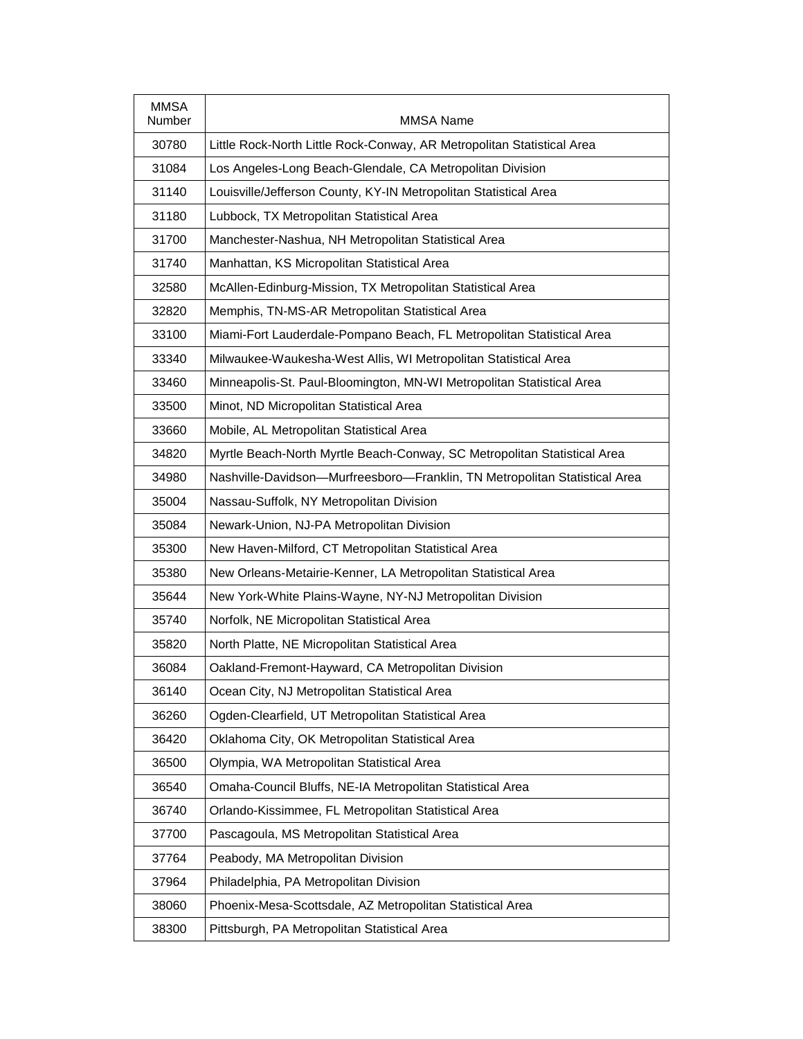| <b>MMSA</b><br>Number | MMSA Name                                                                  |
|-----------------------|----------------------------------------------------------------------------|
| 30780                 | Little Rock-North Little Rock-Conway, AR Metropolitan Statistical Area     |
| 31084                 | Los Angeles-Long Beach-Glendale, CA Metropolitan Division                  |
| 31140                 | Louisville/Jefferson County, KY-IN Metropolitan Statistical Area           |
| 31180                 | Lubbock, TX Metropolitan Statistical Area                                  |
| 31700                 | Manchester-Nashua, NH Metropolitan Statistical Area                        |
| 31740                 | Manhattan, KS Micropolitan Statistical Area                                |
| 32580                 | McAllen-Edinburg-Mission, TX Metropolitan Statistical Area                 |
| 32820                 | Memphis, TN-MS-AR Metropolitan Statistical Area                            |
| 33100                 | Miami-Fort Lauderdale-Pompano Beach, FL Metropolitan Statistical Area      |
| 33340                 | Milwaukee-Waukesha-West Allis, WI Metropolitan Statistical Area            |
| 33460                 | Minneapolis-St. Paul-Bloomington, MN-WI Metropolitan Statistical Area      |
| 33500                 | Minot, ND Micropolitan Statistical Area                                    |
| 33660                 | Mobile, AL Metropolitan Statistical Area                                   |
| 34820                 | Myrtle Beach-North Myrtle Beach-Conway, SC Metropolitan Statistical Area   |
| 34980                 | Nashville-Davidson-Murfreesboro-Franklin, TN Metropolitan Statistical Area |
| 35004                 | Nassau-Suffolk, NY Metropolitan Division                                   |
| 35084                 | Newark-Union, NJ-PA Metropolitan Division                                  |
| 35300                 | New Haven-Milford, CT Metropolitan Statistical Area                        |
| 35380                 | New Orleans-Metairie-Kenner, LA Metropolitan Statistical Area              |
| 35644                 | New York-White Plains-Wayne, NY-NJ Metropolitan Division                   |
| 35740                 | Norfolk, NE Micropolitan Statistical Area                                  |
| 35820                 | North Platte, NE Micropolitan Statistical Area                             |
| 36084                 | Oakland-Fremont-Hayward, CA Metropolitan Division                          |
| 36140                 | Ocean City, NJ Metropolitan Statistical Area                               |
| 36260                 | Ogden-Clearfield, UT Metropolitan Statistical Area                         |
| 36420                 | Oklahoma City, OK Metropolitan Statistical Area                            |
| 36500                 | Olympia, WA Metropolitan Statistical Area                                  |
| 36540                 | Omaha-Council Bluffs, NE-IA Metropolitan Statistical Area                  |
| 36740                 | Orlando-Kissimmee, FL Metropolitan Statistical Area                        |
| 37700                 | Pascagoula, MS Metropolitan Statistical Area                               |
| 37764                 | Peabody, MA Metropolitan Division                                          |
| 37964                 | Philadelphia, PA Metropolitan Division                                     |
| 38060                 | Phoenix-Mesa-Scottsdale, AZ Metropolitan Statistical Area                  |
| 38300                 | Pittsburgh, PA Metropolitan Statistical Area                               |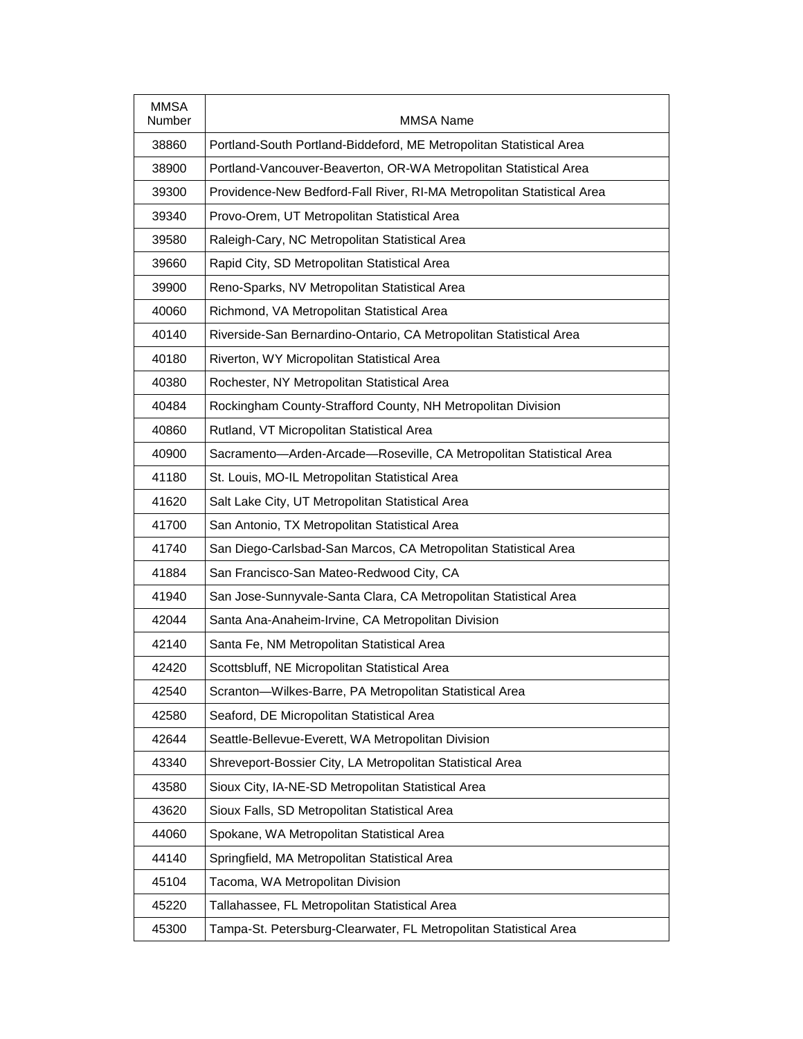| <b>MMSA</b><br>Number | <b>MMSA Name</b>                                                       |
|-----------------------|------------------------------------------------------------------------|
| 38860                 | Portland-South Portland-Biddeford, ME Metropolitan Statistical Area    |
| 38900                 | Portland-Vancouver-Beaverton, OR-WA Metropolitan Statistical Area      |
| 39300                 | Providence-New Bedford-Fall River, RI-MA Metropolitan Statistical Area |
| 39340                 | Provo-Orem, UT Metropolitan Statistical Area                           |
| 39580                 | Raleigh-Cary, NC Metropolitan Statistical Area                         |
| 39660                 | Rapid City, SD Metropolitan Statistical Area                           |
| 39900                 | Reno-Sparks, NV Metropolitan Statistical Area                          |
| 40060                 | Richmond, VA Metropolitan Statistical Area                             |
| 40140                 | Riverside-San Bernardino-Ontario, CA Metropolitan Statistical Area     |
| 40180                 | Riverton, WY Micropolitan Statistical Area                             |
| 40380                 | Rochester, NY Metropolitan Statistical Area                            |
| 40484                 | Rockingham County-Strafford County, NH Metropolitan Division           |
| 40860                 | Rutland, VT Micropolitan Statistical Area                              |
| 40900                 | Sacramento-Arden-Arcade-Roseville, CA Metropolitan Statistical Area    |
| 41180                 | St. Louis, MO-IL Metropolitan Statistical Area                         |
| 41620                 | Salt Lake City, UT Metropolitan Statistical Area                       |
| 41700                 | San Antonio, TX Metropolitan Statistical Area                          |
| 41740                 | San Diego-Carlsbad-San Marcos, CA Metropolitan Statistical Area        |
| 41884                 | San Francisco-San Mateo-Redwood City, CA                               |
| 41940                 | San Jose-Sunnyvale-Santa Clara, CA Metropolitan Statistical Area       |
| 42044                 | Santa Ana-Anaheim-Irvine, CA Metropolitan Division                     |
| 42140                 | Santa Fe, NM Metropolitan Statistical Area                             |
| 42420                 | Scottsbluff, NE Micropolitan Statistical Area                          |
| 42540                 | Scranton-Wilkes-Barre, PA Metropolitan Statistical Area                |
| 42580                 | Seaford, DE Micropolitan Statistical Area                              |
| 42644                 | Seattle-Bellevue-Everett, WA Metropolitan Division                     |
| 43340                 | Shreveport-Bossier City, LA Metropolitan Statistical Area              |
| 43580                 | Sioux City, IA-NE-SD Metropolitan Statistical Area                     |
| 43620                 | Sioux Falls, SD Metropolitan Statistical Area                          |
| 44060                 | Spokane, WA Metropolitan Statistical Area                              |
| 44140                 | Springfield, MA Metropolitan Statistical Area                          |
| 45104                 | Tacoma, WA Metropolitan Division                                       |
| 45220                 | Tallahassee, FL Metropolitan Statistical Area                          |
| 45300                 | Tampa-St. Petersburg-Clearwater, FL Metropolitan Statistical Area      |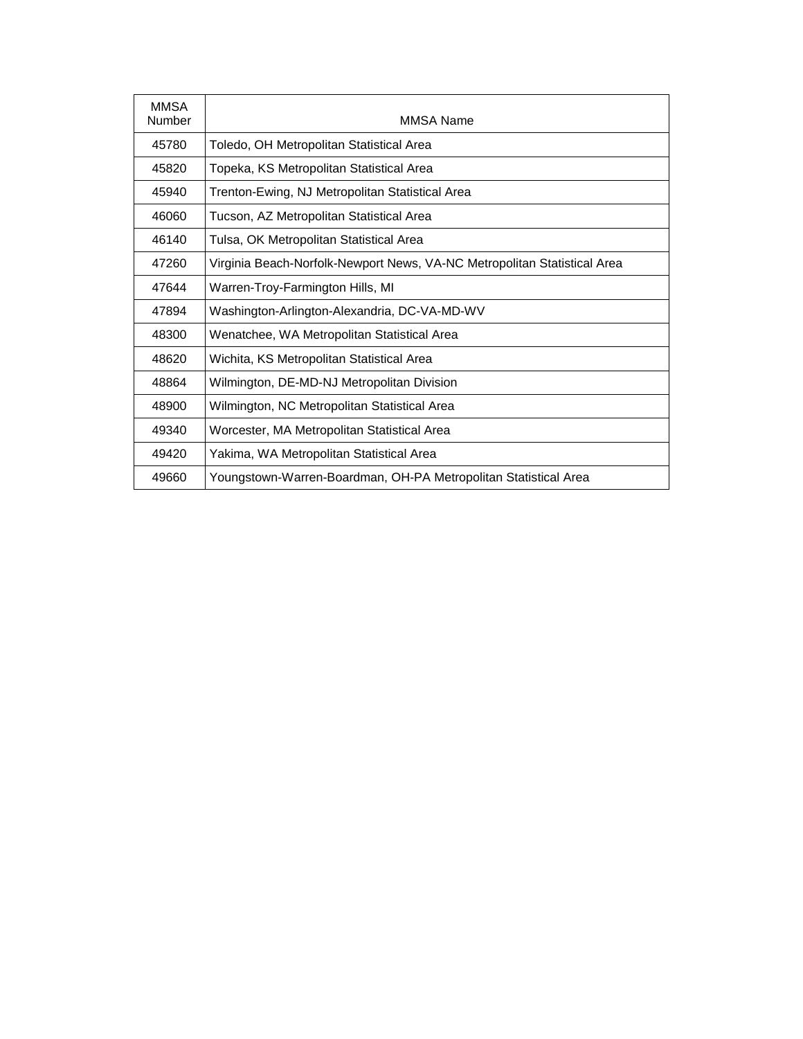| <b>MMSA</b><br>Number | MMSA Name                                                                |
|-----------------------|--------------------------------------------------------------------------|
| 45780                 | Toledo, OH Metropolitan Statistical Area                                 |
| 45820                 | Topeka, KS Metropolitan Statistical Area                                 |
| 45940                 | Trenton-Ewing, NJ Metropolitan Statistical Area                          |
| 46060                 | Tucson, AZ Metropolitan Statistical Area                                 |
| 46140                 | Tulsa, OK Metropolitan Statistical Area                                  |
| 47260                 | Virginia Beach-Norfolk-Newport News, VA-NC Metropolitan Statistical Area |
| 47644                 | Warren-Troy-Farmington Hills, MI                                         |
| 47894                 | Washington-Arlington-Alexandria, DC-VA-MD-WV                             |
| 48300                 | Wenatchee, WA Metropolitan Statistical Area                              |
| 48620                 | Wichita, KS Metropolitan Statistical Area                                |
| 48864                 | Wilmington, DE-MD-NJ Metropolitan Division                               |
| 48900                 | Wilmington, NC Metropolitan Statistical Area                             |
| 49340                 | Worcester, MA Metropolitan Statistical Area                              |
| 49420                 | Yakima, WA Metropolitan Statistical Area                                 |
| 49660                 | Youngstown-Warren-Boardman, OH-PA Metropolitan Statistical Area          |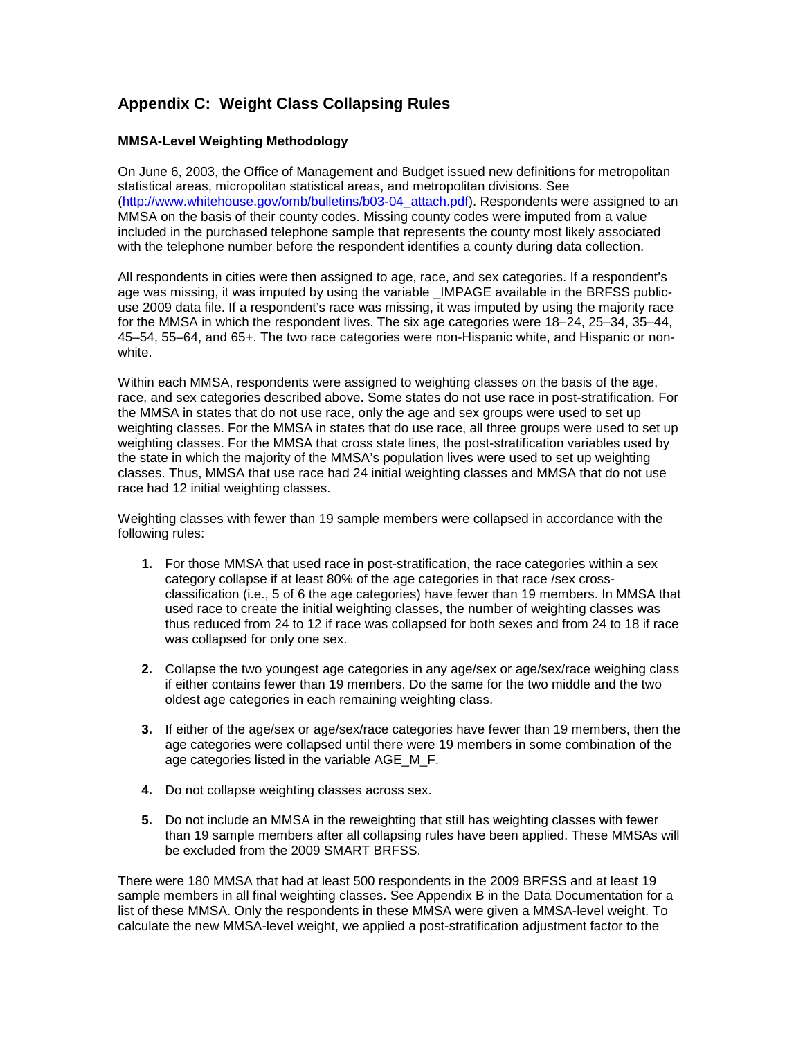## **Appendix C: Weight Class Collapsing Rules**

#### **MMSA-Level Weighting Methodology**

On June 6, 2003, the Office of Management and Budget issued new definitions for metropolitan statistical areas, micropolitan statistical areas, and metropolitan divisions. See [\(http://www.whitehouse.gov/omb/bulletins/b03-04\\_attach.pdf\)](http://www.whitehouse.gov/omb/bulletins/b03-04_attach.pdf). Respondents were assigned to an MMSA on the basis of their county codes. Missing county codes were imputed from a value included in the purchased telephone sample that represents the county most likely associated with the telephone number before the respondent identifies a county during data collection.

All respondents in cities were then assigned to age, race, and sex categories. If a respondent's age was missing, it was imputed by using the variable LMPAGE available in the BRFSS publicuse 2009 data file. If a respondent's race was missing, it was imputed by using the majority race for the MMSA in which the respondent lives. The six age categories were 18–24, 25–34, 35–44, 45–54, 55–64, and 65+. The two race categories were non-Hispanic white, and Hispanic or nonwhite.

Within each MMSA, respondents were assigned to weighting classes on the basis of the age, race, and sex categories described above. Some states do not use race in post-stratification. For the MMSA in states that do not use race, only the age and sex groups were used to set up weighting classes. For the MMSA in states that do use race, all three groups were used to set up weighting classes. For the MMSA that cross state lines, the post-stratification variables used by the state in which the majority of the MMSA's population lives were used to set up weighting classes. Thus, MMSA that use race had 24 initial weighting classes and MMSA that do not use race had 12 initial weighting classes.

Weighting classes with fewer than 19 sample members were collapsed in accordance with the following rules:

- **1.** For those MMSA that used race in post-stratification, the race categories within a sex category collapse if at least 80% of the age categories in that race /sex crossclassification (i.e., 5 of 6 the age categories) have fewer than 19 members. In MMSA that used race to create the initial weighting classes, the number of weighting classes was thus reduced from 24 to 12 if race was collapsed for both sexes and from 24 to 18 if race was collapsed for only one sex.
- **2.** Collapse the two youngest age categories in any age/sex or age/sex/race weighing class if either contains fewer than 19 members. Do the same for the two middle and the two oldest age categories in each remaining weighting class.
- **3.** If either of the age/sex or age/sex/race categories have fewer than 19 members, then the age categories were collapsed until there were 19 members in some combination of the age categories listed in the variable AGE\_M\_F.
- **4.** Do not collapse weighting classes across sex.
- **5.** Do not include an MMSA in the reweighting that still has weighting classes with fewer than 19 sample members after all collapsing rules have been applied. These MMSAs will be excluded from the 2009 SMART BRFSS.

There were 180 MMSA that had at least 500 respondents in the 2009 BRFSS and at least 19 sample members in all final weighting classes. See Appendix B in the Data Documentation for a list of these MMSA. Only the respondents in these MMSA were given a MMSA-level weight. To calculate the new MMSA-level weight, we applied a post-stratification adjustment factor to the